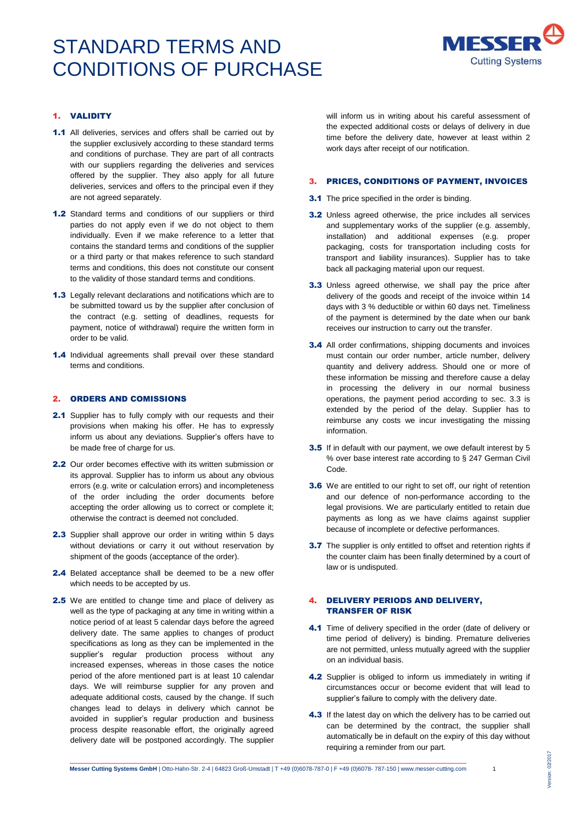

## 1. VALIDITY

- 1.1 All deliveries, services and offers shall be carried out by the supplier exclusively according to these standard terms and conditions of purchase. They are part of all contracts with our suppliers regarding the deliveries and services offered by the supplier. They also apply for all future deliveries, services and offers to the principal even if they are not agreed separately.
- 1.2 Standard terms and conditions of our suppliers or third parties do not apply even if we do not object to them individually. Even if we make reference to a letter that contains the standard terms and conditions of the supplier or a third party or that makes reference to such standard terms and conditions, this does not constitute our consent to the validity of those standard terms and conditions.
- 1.3 Legally relevant declarations and notifications which are to be submitted toward us by the supplier after conclusion of the contract (e.g. setting of deadlines, requests for payment, notice of withdrawal) require the written form in order to be valid.
- 1.4 Individual agreements shall prevail over these standard terms and conditions.

#### 2. ORDERS AND COMISSIONS

- 2.1 Supplier has to fully comply with our requests and their provisions when making his offer. He has to expressly inform us about any deviations. Supplier's offers have to be made free of charge for us.
- 2.2 Our order becomes effective with its written submission or its approval. Supplier has to inform us about any obvious errors (e.g. write or calculation errors) and incompleteness of the order including the order documents before accepting the order allowing us to correct or complete it; otherwise the contract is deemed not concluded.
- 2.3 Supplier shall approve our order in writing within 5 days without deviations or carry it out without reservation by shipment of the goods (acceptance of the order).
- 2.4 Belated acceptance shall be deemed to be a new offer which needs to be accepted by us.
- 2.5 We are entitled to change time and place of delivery as well as the type of packaging at any time in writing within a notice period of at least 5 calendar days before the agreed delivery date. The same applies to changes of product specifications as long as they can be implemented in the supplier's regular production process without any increased expenses, whereas in those cases the notice period of the afore mentioned part is at least 10 calendar days. We will reimburse supplier for any proven and adequate additional costs, caused by the change. If such changes lead to delays in delivery which cannot be avoided in supplier's regular production and business process despite reasonable effort, the originally agreed delivery date will be postponed accordingly. The supplier

will inform us in writing about his careful assessment of the expected additional costs or delays of delivery in due time before the delivery date, however at least within 2 work days after receipt of our notification.

#### 3. PRICES, CONDITIONS OF PAYMENT, INVOICES

- **3.1** The price specified in the order is binding.
- 3.2 Unless agreed otherwise, the price includes all services and supplementary works of the supplier (e.g. assembly, installation) and additional expenses (e.g. proper packaging, costs for transportation including costs for transport and liability insurances). Supplier has to take back all packaging material upon our request.
- **3.3** Unless agreed otherwise, we shall pay the price after delivery of the goods and receipt of the invoice within 14 days with 3 % deductible or within 60 days net. Timeliness of the payment is determined by the date when our bank receives our instruction to carry out the transfer.
- **3.4** All order confirmations, shipping documents and invoices must contain our order number, article number, delivery quantity and delivery address. Should one or more of these information be missing and therefore cause a delay in processing the delivery in our normal business operations, the payment period according to sec. 3.3 is extended by the period of the delay. Supplier has to reimburse any costs we incur investigating the missing information.
- 3.5 If in default with our payment, we owe default interest by 5 % over base interest rate according to § 247 German Civil Code.
- **3.6** We are entitled to our right to set off, our right of retention and our defence of non-performance according to the legal provisions. We are particularly entitled to retain due payments as long as we have claims against supplier because of incomplete or defective performances.
- **3.7** The supplier is only entitled to offset and retention rights if the counter claim has been finally determined by a court of law or is undisputed.

### 4. DELIVERY PERIODS AND DELIVERY, TRANSFER OF RISK

- 4.1 Time of delivery specified in the order (date of delivery or time period of delivery) is binding. Premature deliveries are not permitted, unless mutually agreed with the supplier on an individual basis.
- 4.2 Supplier is obliged to inform us immediately in writing if circumstances occur or become evident that will lead to supplier's failure to comply with the delivery date.
- 4.3 If the latest day on which the delivery has to be carried out can be determined by the contract, the supplier shall automatically be in default on the expiry of this day without requiring a reminder from our part.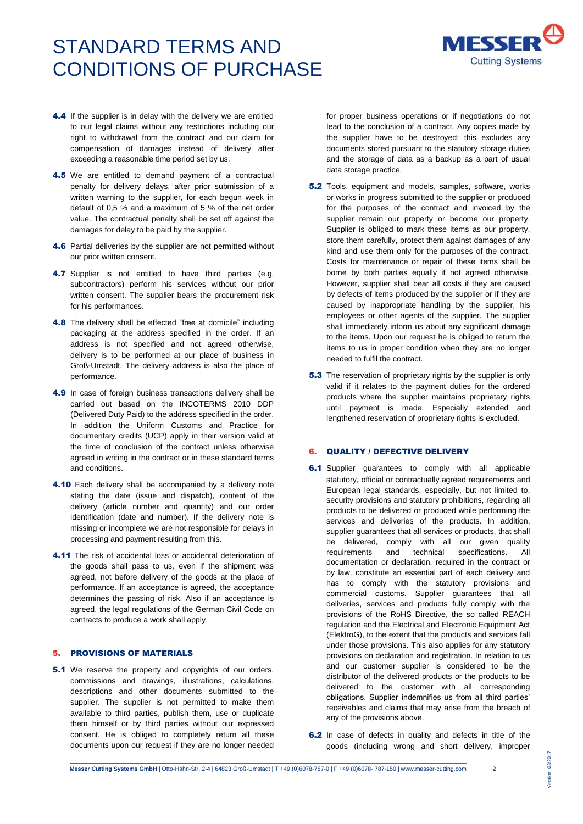

- 4.4 If the supplier is in delay with the delivery we are entitled to our legal claims without any restrictions including our right to withdrawal from the contract and our claim for compensation of damages instead of delivery after exceeding a reasonable time period set by us.
- 4.5 We are entitled to demand payment of a contractual penalty for delivery delays, after prior submission of a written warning to the supplier, for each begun week in default of 0,5 % and a maximum of 5 % of the net order value. The contractual penalty shall be set off against the damages for delay to be paid by the supplier.
- 4.6 Partial deliveries by the supplier are not permitted without our prior written consent.
- 4.7 Supplier is not entitled to have third parties (e.g. subcontractors) perform his services without our prior written consent. The supplier bears the procurement risk for his performances.
- 4.8 The delivery shall be effected "free at domicile" including packaging at the address specified in the order. If an address is not specified and not agreed otherwise, delivery is to be performed at our place of business in Groß-Umstadt. The delivery address is also the place of performance.
- 4.9 In case of foreign business transactions delivery shall be carried out based on the INCOTERMS 2010 DDP (Delivered Duty Paid) to the address specified in the order. In addition the Uniform Customs and Practice for documentary credits (UCP) apply in their version valid at the time of conclusion of the contract unless otherwise agreed in writing in the contract or in these standard terms and conditions.
- 4.10 Each delivery shall be accompanied by a delivery note stating the date (issue and dispatch), content of the delivery (article number and quantity) and our order identification (date and number). If the delivery note is missing or incomplete we are not responsible for delays in processing and payment resulting from this.
- 4.11 The risk of accidental loss or accidental deterioration of the goods shall pass to us, even if the shipment was agreed, not before delivery of the goods at the place of performance. If an acceptance is agreed, the acceptance determines the passing of risk. Also if an acceptance is agreed, the legal regulations of the German Civil Code on contracts to produce a work shall apply.

### 5. PROVISIONS OF MATERIALS

**5.1** We reserve the property and copyrights of our orders, commissions and drawings, illustrations, calculations, descriptions and other documents submitted to the supplier. The supplier is not permitted to make them available to third parties, publish them, use or duplicate them himself or by third parties without our expressed consent. He is obliged to completely return all these documents upon our request if they are no longer needed

for proper business operations or if negotiations do not lead to the conclusion of a contract. Any copies made by the supplier have to be destroyed; this excludes any documents stored pursuant to the statutory storage duties and the storage of data as a backup as a part of usual data storage practice.

- **5.2** Tools, equipment and models, samples, software, works or works in progress submitted to the supplier or produced for the purposes of the contract and invoiced by the supplier remain our property or become our property. Supplier is obliged to mark these items as our property, store them carefully, protect them against damages of any kind and use them only for the purposes of the contract. Costs for maintenance or repair of these items shall be borne by both parties equally if not agreed otherwise. However, supplier shall bear all costs if they are caused by defects of items produced by the supplier or if they are caused by inappropriate handling by the supplier, his employees or other agents of the supplier. The supplier shall immediately inform us about any significant damage to the items. Upon our request he is obliged to return the items to us in proper condition when they are no longer needed to fulfil the contract.
- **5.3** The reservation of proprietary rights by the supplier is only valid if it relates to the payment duties for the ordered products where the supplier maintains proprietary rights until payment is made. Especially extended and lengthened reservation of proprietary rights is excluded.

### 6. QUALITY / DEFECTIVE DELIVERY

- **6.1** Supplier guarantees to comply with all applicable statutory, official or contractually agreed requirements and European legal standards, especially, but not limited to, security provisions and statutory prohibitions, regarding all products to be delivered or produced while performing the services and deliveries of the products. In addition, supplier guarantees that all services or products, that shall be delivered, comply with all our given quality<br>requirements and technical specifications. All requirements and technical specifications. All documentation or declaration, required in the contract or by law, constitute an essential part of each delivery and has to comply with the statutory provisions and commercial customs. Supplier guarantees that all deliveries, services and products fully comply with the provisions of the RoHS Directive, the so called REACH regulation and the Electrical and Electronic Equipment Act (ElektroG), to the extent that the products and services fall under those provisions. This also applies for any statutory provisions on declaration and registration. In relation to us and our customer supplier is considered to be the distributor of the delivered products or the products to be delivered to the customer with all corresponding obligations. Supplier indemnifies us from all third parties' receivables and claims that may arise from the breach of any of the provisions above.
- 6.2 In case of defects in quality and defects in title of the goods (including wrong and short delivery, improper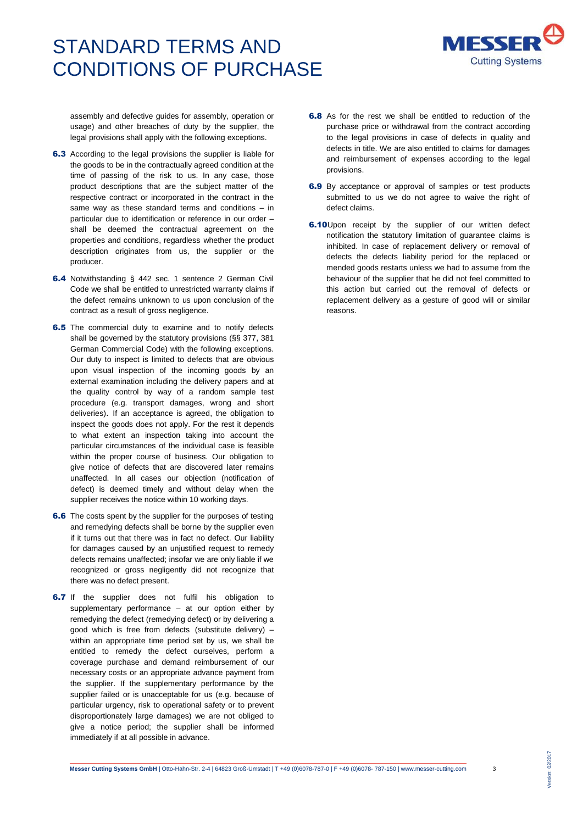

assembly and defective guides for assembly, operation or usage) and other breaches of duty by the supplier, the legal provisions shall apply with the following exceptions.

- 6.3 According to the legal provisions the supplier is liable for the goods to be in the contractually agreed condition at the time of passing of the risk to us. In any case, those product descriptions that are the subject matter of the respective contract or incorporated in the contract in the same way as these standard terms and conditions – in particular due to identification or reference in our order – shall be deemed the contractual agreement on the properties and conditions, regardless whether the product description originates from us, the supplier or the producer.
- 6.4 Notwithstanding § 442 sec. 1 sentence 2 German Civil Code we shall be entitled to unrestricted warranty claims if the defect remains unknown to us upon conclusion of the contract as a result of gross negligence.
- **6.5** The commercial duty to examine and to notify defects shall be governed by the statutory provisions (§§ 377, 381 German Commercial Code) with the following exceptions. Our duty to inspect is limited to defects that are obvious upon visual inspection of the incoming goods by an external examination including the delivery papers and at the quality control by way of a random sample test procedure (e.g. transport damages, wrong and short deliveries). If an acceptance is agreed, the obligation to inspect the goods does not apply. For the rest it depends to what extent an inspection taking into account the particular circumstances of the individual case is feasible within the proper course of business. Our obligation to give notice of defects that are discovered later remains unaffected. In all cases our objection (notification of defect) is deemed timely and without delay when the supplier receives the notice within 10 working days.
- **6.6** The costs spent by the supplier for the purposes of testing and remedying defects shall be borne by the supplier even if it turns out that there was in fact no defect. Our liability for damages caused by an unjustified request to remedy defects remains unaffected; insofar we are only liable if we recognized or gross negligently did not recognize that there was no defect present.
- **6.7** If the supplier does not fulfil his obligation to supplementary performance – at our option either by remedying the defect (remedying defect) or by delivering a good which is free from defects (substitute delivery) – within an appropriate time period set by us, we shall be entitled to remedy the defect ourselves, perform a coverage purchase and demand reimbursement of our necessary costs or an appropriate advance payment from the supplier. If the supplementary performance by the supplier failed or is unacceptable for us (e.g. because of particular urgency, risk to operational safety or to prevent disproportionately large damages) we are not obliged to give a notice period; the supplier shall be informed immediately if at all possible in advance.
- 6.8 As for the rest we shall be entitled to reduction of the purchase price or withdrawal from the contract according to the legal provisions in case of defects in quality and defects in title. We are also entitled to claims for damages and reimbursement of expenses according to the legal provisions.
- 6.9 By acceptance or approval of samples or test products submitted to us we do not agree to waive the right of defect claims.
- **6.10**Upon receipt by the supplier of our written defect notification the statutory limitation of guarantee claims is inhibited. In case of replacement delivery or removal of defects the defects liability period for the replaced or mended goods restarts unless we had to assume from the behaviour of the supplier that he did not feel committed to this action but carried out the removal of defects or replacement delivery as a gesture of good will or similar reasons.

Version: 02/2017

Version: 02/2017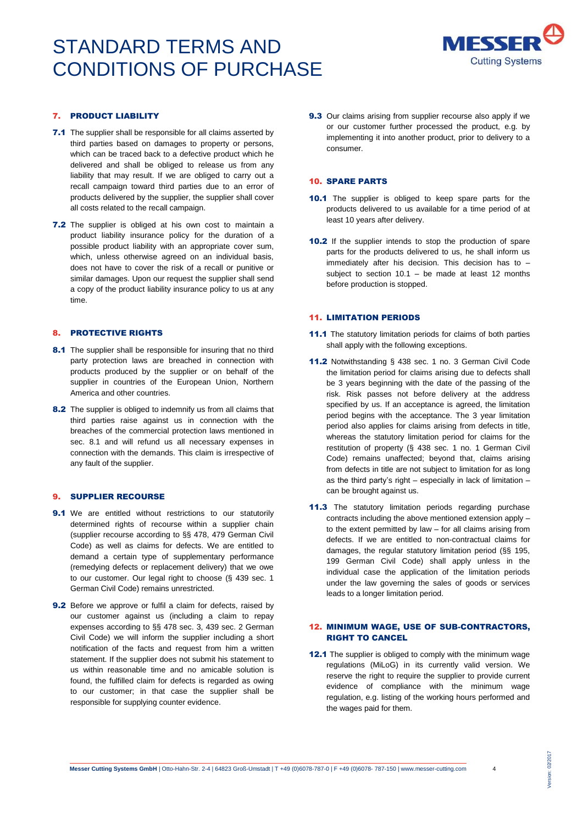

## 7. PRODUCT LIABILITY

- 7.1 The supplier shall be responsible for all claims asserted by third parties based on damages to property or persons, which can be traced back to a defective product which he delivered and shall be obliged to release us from any liability that may result. If we are obliged to carry out a recall campaign toward third parties due to an error of products delivered by the supplier, the supplier shall cover all costs related to the recall campaign.
- 7.2 The supplier is obliged at his own cost to maintain a product liability insurance policy for the duration of a possible product liability with an appropriate cover sum, which, unless otherwise agreed on an individual basis, does not have to cover the risk of a recall or punitive or similar damages. Upon our request the supplier shall send a copy of the product liability insurance policy to us at any time.

### 8. PROTECTIVE RIGHTS

- 8.1 The supplier shall be responsible for insuring that no third party protection laws are breached in connection with products produced by the supplier or on behalf of the supplier in countries of the European Union, Northern America and other countries.
- 8.2 The supplier is obliged to indemnify us from all claims that third parties raise against us in connection with the breaches of the commercial protection laws mentioned in sec. 8.1 and will refund us all necessary expenses in connection with the demands. This claim is irrespective of any fault of the supplier.

## 9. SUPPLIER RECOURSE

- **9.1** We are entitled without restrictions to our statutorily determined rights of recourse within a supplier chain (supplier recourse according to §§ 478, 479 German Civil Code) as well as claims for defects. We are entitled to demand a certain type of supplementary performance (remedying defects or replacement delivery) that we owe to our customer. Our legal right to choose (§ 439 sec. 1 German Civil Code) remains unrestricted.
- **9.2** Before we approve or fulfil a claim for defects, raised by our customer against us (including a claim to repay expenses according to §§ 478 sec. 3, 439 sec. 2 German Civil Code) we will inform the supplier including a short notification of the facts and request from him a written statement. If the supplier does not submit his statement to us within reasonable time and no amicable solution is found, the fulfilled claim for defects is regarded as owing to our customer; in that case the supplier shall be responsible for supplying counter evidence.

9.3 Our claims arising from supplier recourse also apply if we or our customer further processed the product, e.g. by implementing it into another product, prior to delivery to a consumer.

#### 10. SPARE PARTS

- 10.1 The supplier is obliged to keep spare parts for the products delivered to us available for a time period of at least 10 years after delivery.
- 10.2 If the supplier intends to stop the production of spare parts for the products delivered to us, he shall inform us immediately after his decision. This decision has to – subject to section  $10.1 -$  be made at least 12 months before production is stopped.

### 11. LIMITATION PERIODS

- 11.1 The statutory limitation periods for claims of both parties shall apply with the following exceptions.
- 11.2 Notwithstanding § 438 sec. 1 no. 3 German Civil Code the limitation period for claims arising due to defects shall be 3 years beginning with the date of the passing of the risk. Risk passes not before delivery at the address specified by us. If an acceptance is agreed, the limitation period begins with the acceptance. The 3 year limitation period also applies for claims arising from defects in title, whereas the statutory limitation period for claims for the restitution of property (§ 438 sec. 1 no. 1 German Civil Code) remains unaffected; beyond that, claims arising from defects in title are not subject to limitation for as long as the third party's right – especially in lack of limitation – can be brought against us.
- 11.3 The statutory limitation periods regarding purchase contracts including the above mentioned extension apply – to the extent permitted by law – for all claims arising from defects. If we are entitled to non-contractual claims for damages, the regular statutory limitation period (§§ 195, 199 German Civil Code) shall apply unless in the individual case the application of the limitation periods under the law governing the sales of goods or services leads to a longer limitation period.

## 12. MINIMUM WAGE, USE OF SUB-CONTRACTORS, RIGHT TO CANCEL

12.1 The supplier is obliged to comply with the minimum wage regulations (MiLoG) in its currently valid version. We reserve the right to require the supplier to provide current evidence of compliance with the minimum wage regulation, e.g. listing of the working hours performed and the wages paid for them.